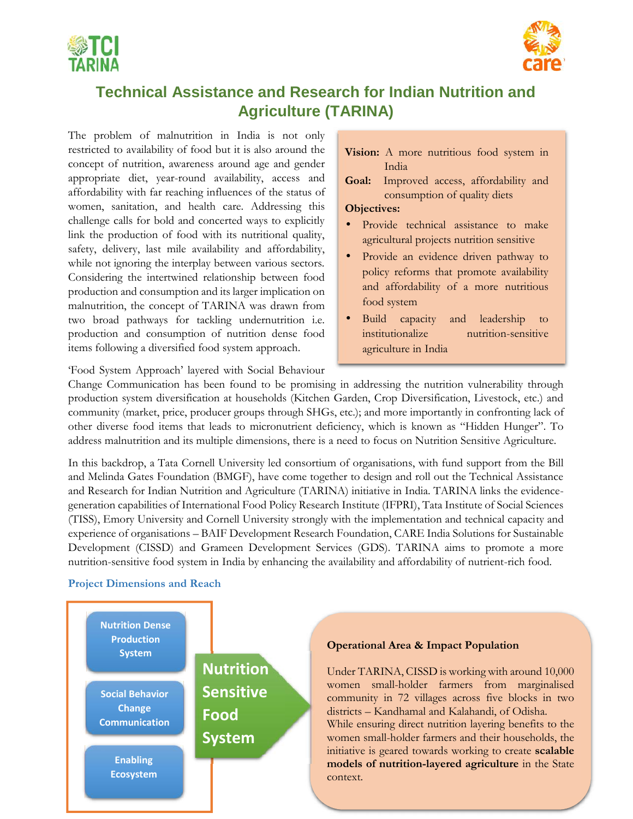



## **Technical Assistance and Research for Indian Nutrition and Agriculture (TARINA)**

The problem of malnutrition in India is not only restricted to availability of food but it is also around the concept of nutrition, awareness around age and gender appropriate diet, year-round availability, access and affordability with far reaching influences of the status of women, sanitation, and health care. Addressing this challenge calls for bold and concerted ways to explicitly link the production of food with its nutritional quality, safety, delivery, last mile availability and affordability, while not ignoring the interplay between various sectors. Considering the intertwined relationship between food production and consumption and its larger implication on malnutrition, the concept of TARINA was drawn from two broad pathways for tackling undernutrition i.e. production and consumption of nutrition dense food items following a diversified food system approach.

#### **Vision:** A more nutritious food system in India

**Goal:** Improved access, affordability and consumption of quality diets

#### **Objectives:**

- Provide technical assistance to make agricultural projects nutrition sensitive
- Provide an evidence driven pathway to policy reforms that promote availability and affordability of a more nutritious food system
- Build capacity and leadership to nutrition-sensitive agriculture in India

'Food System Approach' layered with Social Behaviour

Change Communication has been found to be promising in addressing the nutrition vulnerability through production system diversification at households (Kitchen Garden, Crop Diversification, Livestock, etc.) and community (market, price, producer groups through SHGs, etc.); and more importantly in confronting lack of other diverse food items that leads to micronutrient deficiency, which is known as "Hidden Hunger". To address malnutrition and its multiple dimensions, there is a need to focus on Nutrition Sensitive Agriculture.

In this backdrop, a Tata Cornell University led consortium of organisations, with fund support from the Bill and Melinda Gates Foundation (BMGF), have come together to design and roll out the Technical Assistance and Research for Indian Nutrition and Agriculture (TARINA) initiative in India. TARINA links the evidence generation capabilities of International Food Policy Research Institute (IFPRI), Tata Institute of Social Sciences (TISS), Emory University and Cornell University strongly with the implementation and technical capacity and experience of organisations – BAIF Development Research Foundation, CARE India Solutions for Sustainable Development (CISSD) and Grameen Development Services (GDS). TARINA aims to promote a more nutrition-sensitive food system in India by enhancing the availability and affordability of nutrient-rich food.

#### **Project Dimensions and Reach**



#### **Operational Area & Impact Population**

Under TARINA, CISSD is working with around 10,000 women small-holder farmers from marginalised community in 72 villages across five blocks in two districts – Kandhamal and Kalahandi, of Odisha. While ensuring direct nutrition layering benefits to the women small-holder farmers and their households, the initiative is geared towards working to create **scalable models of nutrition-layered agriculture** in the State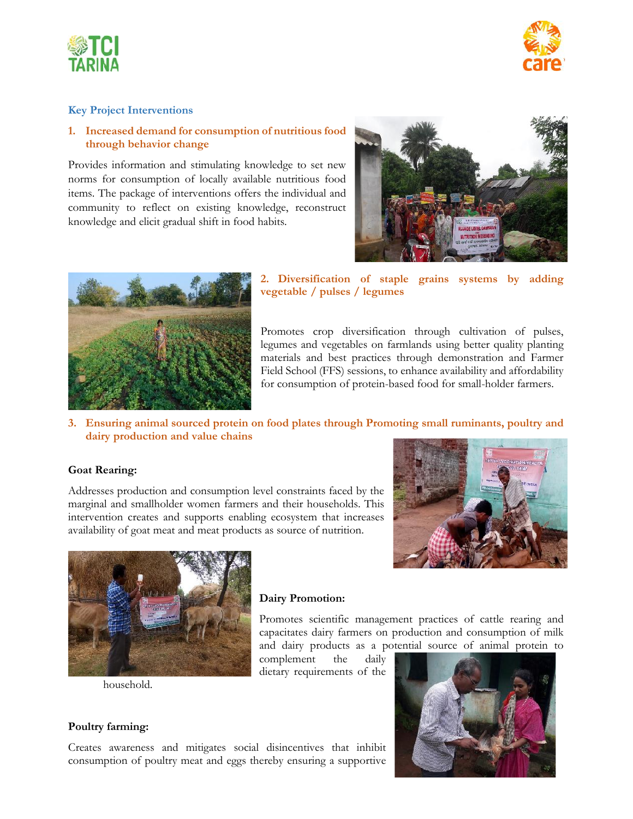



#### **Key Project Interventions**

#### **1. Increased demand for consumption of nutritious food through behavior change**

Provides information and stimulating knowledge to set new norms for consumption of locally available nutritious food items. The package of interventions offers the individual and community to reflect on existing knowledge, reconstruct knowledge and elicit gradual shift in food habits.





#### **2. Diversification of staple grains systems by adding vegetable / pulses / legumes**

Promotes crop diversification through cultivation of pulses, legumes and vegetables on farmlands using better quality planting materials and best practices through demonstration and Farmer Field School (FFS) sessions, to enhance availability and affordability for consumption of protein-based food for small-holder farmers.

#### **3. Ensuring animal sourced protein on food plates through Promoting small ruminants, poultry and dairy production and value chains**

#### **Goat Rearing:**

Addresses production and consumption level constraints faced by the marginal and smallholder women farmers and their households. This intervention creates and supports enabling ecosystem that increases availability of goat meat and meat products as source of nutrition.





household.

#### **Dairy Promotion:**

Promotes scientific management practices of cattle rearing and capacitates dairy farmers on production and consumption of milk and dairy products as a potential source of animal protein to

complement the daily dietary requirements of the



#### **Poultry farming:**

Creates awareness and mitigates social disincentives that inhibit consumption of poultry meat and eggs thereby ensuring a supportive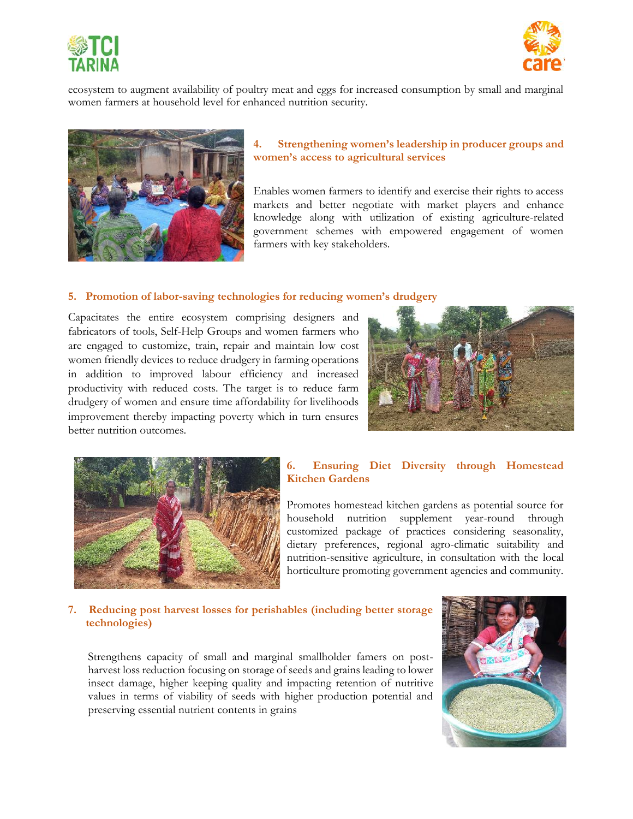



ecosystem to augment availability of poultry meat and eggs for increased consumption by small and marginal women farmers at household level for enhanced nutrition security.



#### **4. Strengthening women's leadership in producer groups and women's access to agricultural services**

Enables women farmers to identify and exercise their rights to access markets and better negotiate with market players and enhance knowledge along with utilization of existing agriculture-related government schemes with empowered engagement of women farmers with key stakeholders.

#### **5. Promotion of labor-saving technologies for reducing women's drudgery**

Capacitates the entire ecosystem comprising designers and fabricators of tools, Self-Help Groups and women farmers who are engaged to customize, train, repair and maintain low cost women friendly devices to reduce drudgery in farming operations in addition to improved labour efficiency and increased productivity with reduced costs. The target is to reduce farm drudgery of women and ensure time affordability for livelihoods improvement thereby impacting poverty which in turn ensures better nutrition outcomes.





#### **6. Ensuring Diet Diversity through Homestead Kitchen Gardens**

Promotes homestead kitchen gardens as potential source for household nutrition supplement year-round through customized package of practices considering seasonality, dietary preferences, regional agro-climatic suitability and nutrition-sensitive agriculture, in consultation with the local horticulture promoting government agencies and community.

#### **7. Reducing post harvest losses for perishables (including better storage technologies)**

Strengthens capacity of small and marginal smallholder famers on post harvest loss reduction focusing on storage of seeds and grains leading to lower insect damage, higher keeping quality and impacting retention of nutritive values in terms of viability of seeds with higher production potential and preserving essential nutrient contents in grains

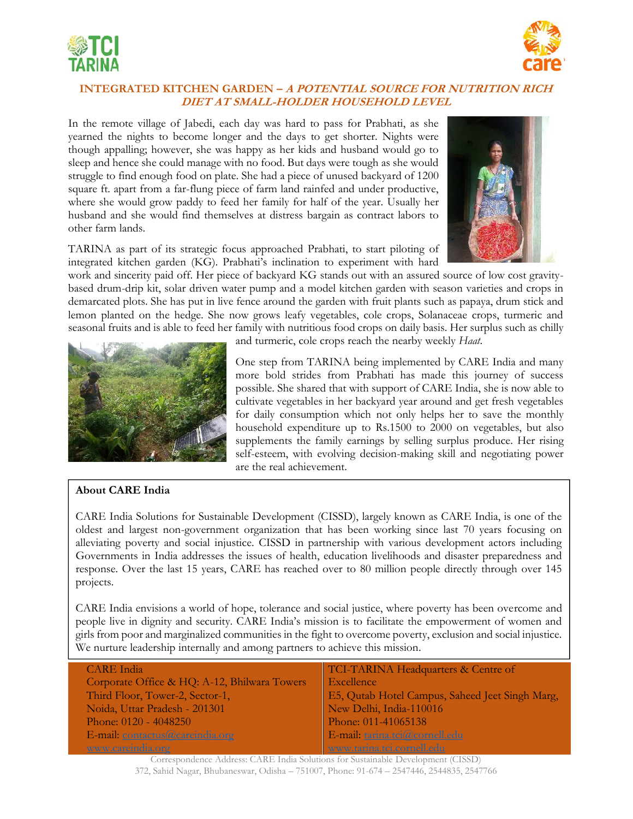



### **INTEGRATED KITCHEN GARDEN –** *A POTENTIAL SOURCE FOR NUTRITION RICH DIET AT SMALL-HOLDER HOUSEHOLD LEVEL*

In the remote village of Jabedi, each day was hard to pass for Prabhati, as she yearned the nights to become longer and the days to get shorter. Nights were though appalling; however, she was happy as her kids and husband would go to sleep and hence she could manage with no food. But days were tough as she would struggle to find enough food on plate. She had a piece of unused backyard of 1200 square ft. apart from a far-flung piece of farm land rainfed and under productive, where she would grow paddy to feed her family for half of the year. Usually her husband and she would find themselves at distress bargain as contract labors to other farm lands.

TARINA as part of its strategic focus approached Prabhati, to start piloting of integrated kitchen garden (KG). Prabhati's inclination to experiment with hard



work and sincerity paid off. Her piece of backyard KG stands out with an assured source of low cost gravity based drum-drip kit, solar driven water pump and a model kitchen garden with season varieties and crops in demarcated plots. She has put in live fence around the garden with fruit plants such as papaya, drum stick and lemon planted on the hedge. She now grows leafy vegetables, cole crops, Solanaceae crops, turmeric and seasonal fruits and is able to feed her family with nutritious food crops on daily basis. Her surplus such as chilly

![](_page_3_Picture_7.jpeg)

and turmeric, cole crops reach the nearby weekly *Haat*.

One step from TARINA being implemented by CARE India and many more bold strides from Prabhati has made this journey of success possible. She shared that with support of CARE India, she is now able to cultivate vegetables in her backyard year around and get fresh vegetables for daily consumption which not only helps her to save the monthly household expenditure up to Rs.1500 to 2000 on vegetables, but also supplements the family earnings by selling surplus produce. Her rising self-esteem, with evolving decision-making skill and negotiating power are the real achievement.

### **About CARE India**

CARE India Solutions for Sustainable Development (CISSD), largely known as CARE India, is one of the oldest and largest non-government organization that has been working since last 70 years focusing on alleviating poverty and social injustice. CISSD in partnership with various development actors including Governments in India addresses the issues of health, education livelihoods and disaster preparedness and response. Over the last 15 years, CARE has reached over to 80 million people directly through over 145 projects.

CARE India envisions a world of hope, tolerance and social justice, where poverty has been overcome and people live in dignity and security. CARE India's mission is to facilitate the empowerment of women and girls from poor and marginalized communities in the fight to overcome poverty, exclusion and social injustice. We nurture leadership internally and among partners to achieve this mission.

| <b>CARE</b> India                            | TCI-TARINA Headquarters & Centre of                                                                                 |
|----------------------------------------------|---------------------------------------------------------------------------------------------------------------------|
| Corporate Office & HQ: A-12, Bhilwara Towers | Excellence                                                                                                          |
| Third Floor, Tower-2, Sector-1,              | <b>E5, Qutab Hotel Campus, Saheed Jeet Singh Marg,</b>                                                              |
| Noida, Uttar Pradesh - 201301                | New Delhi, India-110016                                                                                             |
| Phone: 0120 - 4048250                        | Phone: 011-41065138                                                                                                 |
| E-mail: contactus@careindia.org              | E-mail: tarina.tci@cornell.edu                                                                                      |
|                                              | and the contract of the contract of the contract of the contract of the contract of the contract of the contract of |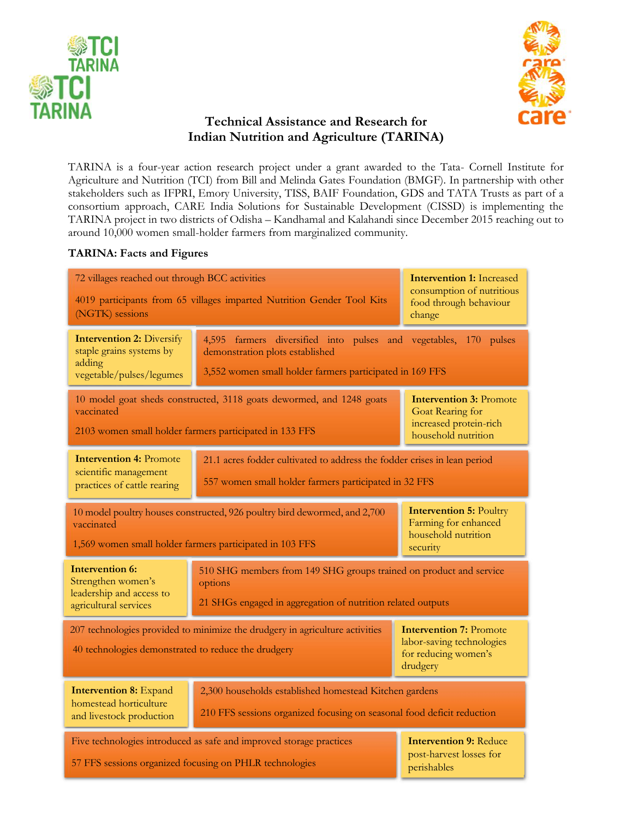![](_page_4_Picture_0.jpeg)

![](_page_4_Picture_1.jpeg)

## **Technical Assistance and Research for Indian Nutrition and Agriculture (TARINA)**

TARINA is a four-year action research project under a grant awarded to the Tata- Cornell Institute for Agriculture and Nutrition (TCI) from Bill and Melinda Gates Foundation (BMGF). In partnership with other stakeholders such as IFPRI, Emory University, TISS, BAIF Foundation, GDS and TATA Trusts as part of a consortium approach, CARE India Solutions for Sustainable Development (CISSD) is implementing the TARINA project in two districts of Odisha – Kandhamal and Kalahandi since December 2015 reaching out to around 10,000 women small-holder farmers from marginalized community.

#### **TARINA: Facts and Figures**

| 72 villages reached out through BCC activities<br>4019 participants from 65 villages imparted Nutrition Gender Tool Kits<br>(NGTK) sessions                                                                                                      |                                                                                                                                                                 | <b>Intervention 1: Increased</b><br>consumption of nutritious<br>food through behaviour<br>change   |
|--------------------------------------------------------------------------------------------------------------------------------------------------------------------------------------------------------------------------------------------------|-----------------------------------------------------------------------------------------------------------------------------------------------------------------|-----------------------------------------------------------------------------------------------------|
| <b>Intervention 2: Diversify</b><br>staple grains systems by<br>adding<br>vegetable/pulses/legumes                                                                                                                                               | 4,595 farmers diversified into pulses and vegetables, 170 pulses<br>demonstration plots established<br>3,552 women small holder farmers participated in 169 FFS |                                                                                                     |
| vaccinated                                                                                                                                                                                                                                       | 10 model goat sheds constructed, 3118 goats dewormed, and 1248 goats<br>2103 women small holder farmers participated in 133 FFS                                 | <b>Intervention 3: Promote</b><br>Goat Rearing for<br>increased protein-rich<br>household nutrition |
| <b>Intervention 4: Promote</b><br>scientific management<br>practices of cattle rearing                                                                                                                                                           | 21.1 acres fodder cultivated to address the fodder crises in lean period<br>557 women small holder farmers participated in 32 FFS                               |                                                                                                     |
| <b>Intervention 5: Poultry</b><br>10 model poultry houses constructed, 926 poultry bird dewormed, and 2,700<br>Farming for enhanced<br>vaccinated<br>household nutrition<br>1,569 women small holder farmers participated in 103 FFS<br>security |                                                                                                                                                                 |                                                                                                     |
| <b>Intervention 6:</b><br>Strengthen women's<br>leadership and access to<br>agricultural services                                                                                                                                                | 510 SHG members from 149 SHG groups trained on product and service<br>options<br>21 SHGs engaged in aggregation of nutrition related outputs                    |                                                                                                     |
| 207 technologies provided to minimize the drudgery in agriculture activities<br><b>Intervention 7: Promote</b><br>labor-saving technologies<br>40 technologies demonstrated to reduce the drudgery<br>for reducing women's<br>drudgery           |                                                                                                                                                                 |                                                                                                     |
| <b>Intervention 8: Expand</b><br>homestead horticulture<br>and livestock production                                                                                                                                                              | 2,300 households established homestead Kitchen gardens<br>210 FFS sessions organized focusing on seasonal food deficit reduction                                |                                                                                                     |
|                                                                                                                                                                                                                                                  | Five technologies introduced as safe and improved storage practices<br>57 FFS sessions organized focusing on PHLR technologies                                  | <b>Intervention 9: Reduce</b><br>post-harvest losses for<br>perishables                             |